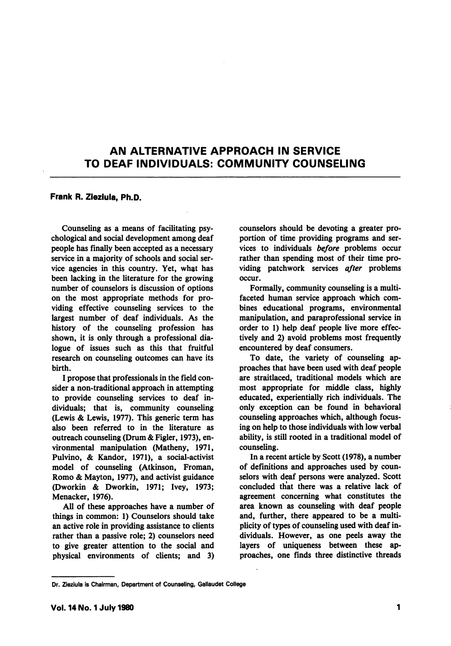## AN ALTERNATIVE APPROACH IN SERVICE TO DEAF INDIVIDUALS: COMMUNITY COUNSELING

## Frank R. Zieziula, Ph.D.

Counseling as a means of facilitating psy chological and social development among deaf people has finally been accepted as a necessary service in a majority of schools and social ser vice agencies in this country. Yet, what has been lacking in the literature for the growing number of counselors is discussion of options on the most appropriate methods for pro viding effective counseling services to the largest number of deaf individuals. As the history of the counseling profession has shown, it is only through a professional dia logue of issues such as this that fruitful research on counseling outcomes can have its birth.

I propose that professionals in the field con sider a non-traditional approach in attempting to provide counseling services to deaf in dividuals; that is, community counseling (Lewis & Lewis, 1977). This generic term has also been referred to in the literature as outreach counseling (Drum & Figler, 1973), en vironmental manipulation (Matheny, 1971, Pulvino, & Kandor, 1971), a social-activist model of counseling (Atkinson, Froman, Romo & Mayton, 1977), and activist guidance (Dworkin & Dworkin, 1971; Ivey, 1973; Menacker, 1976).

All of these approaches have a number of things in common: 1) Counselors should take an active role in providing assistance to clients rather than a passive role; 2) counselors need to give greater attention to the social and physical environments of clients; and 3) counselors should be devoting a greater pro portion of time providing programs and ser vices to individuals before problems occur rather than spending most of their time pro viding patchwork services after problems occur.

Formally, community counseling is a multifaceted human service approach which com bines educational programs, environmental manipulation, and paraprofessional service in order to 1) help deaf people live more effec tively and 2) avoid problems most frequently encountered by deaf consumers.

To date, the variety of counseling ap proaches that have been used with deaf people are straitlaced, traditional models which are most appropriate for middle class, highly educated, experientially rich individuals. The only exception can be found in behavioral counseling approaches which, although focus ing on help to those individuals with low verbal ability, is still rooted in a traditional model of counseling.

In a recent article by Scott (1978), a number of definitions and approaches used by counselors with deaf persons were analyzed. Scott concluded that there was a relative lack of agreement concerning what constitutes the area known as counseling with deaf people and, further, there appeared to be a multi plicity of types of counseling used with deaf in dividuals. However, as one peels away the layers of uniqueness between these ap proaches, one tinds three distinctive threads

Dr. Zieziula is Chairman, Department of Counseling, Gallaudet College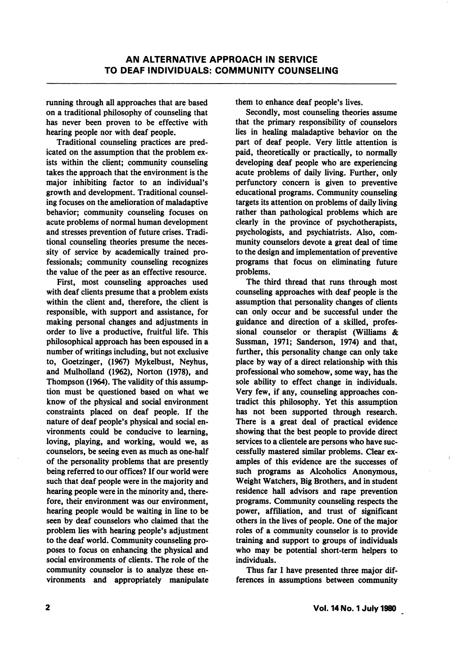running through all approaches that are based on a traditional philosophy of counseling that has never been proven to be effective with hearing people nor with deaf people.

Traditional counseling practices are pred icated on the assumption that the problem ex ists within the client; community counseling takes the approach that the environment is the major inhibiting factor to an individual's growth and development. Traditional counsel ing focuses on the amelioration of maladaptive behavior; community counseling focuses on acute problems of normal human development and stresses prevention of future crises. Tradi tional counseling theories presume the neces sity of service by academically trained pro fessionals; community counseling recognizes the value of the peer as an effective resource.

First, most counseling approaches used with deaf clients presume that a problem exists within the client and, therefore, the client is responsible, with support and assistance, for making personal changes and adjustments in order to live a productive, fruitful life. This philosophical approach has been espoused in a number of writings including, but not exclusive to, Goetzinger, (1967) Mykelbust, Neyhus, and Mulholland (1962), Norton (1978), and Thompson (1964). The validity of this assump tion must be questioned based on what we know of the physical and social environment constraints placed on deaf people. If the nature of deaf people's physical and social en vironments could be conducive to learning, loving, playing, and working, would we, as counselors, be seeing even as much as one-half of the personality problems that are presently being referred to our offices? If our world were such that deaf people were in the majority and hearing people were in the minority and, there fore, their environment was our environment, hearing people would be waiting in line to be seen by deaf counselors who claimed that the problem lies with hearing people's adjustment to the deaf world. Community counseling proposes to focus on enhancing the physical and social environments of clients. The role of the community counselor is to analyze these en vironments and appropriately manipulate them to enhance deaf people's lives.

Secondly, most counseling theories assume that the primary responsibility of counselors lies in healing maladaptive behavior on the part of deaf people. Very little attention is paid, theoretically or practically, to normally developing deaf people who are experiencing acute problems of daily living. Further, only perfunctory concern is given to preventive educational programs. Community counseling targets its attention on problems of daily living rather than pathological problems which are clearly in the province of psychotherapists, psychologists, and psychiatrists. Also, com munity counselors devote a great deal of time to the design and implementation of preventive programs that focus on eliminating future problems.

The third thread that runs through most counseling approaches with deaf people is the assumption that personality changes of clients can only occur and be successful under the guidance and direction of a skilled, profes sional counselor or therapist (Williams & Sussman, 1971; Sanderson, 1974) and that, further, this personality change can only take place by way of a direct relationship with this professional who somehow, some way, has the sole ability to effect change in individuals. Very few, if any, counseling approaches con tradict this philosophy. Yet this assumption has not been supported through research. There is a great deal of practical evidence showing that the best people to provide direct services to a clientele are persons who have suc cessfully mastered similar problems. Clear ex amples of this evidence are the successes of such programs as Alcoholics Anonymous, Weight Watchers, Big Brothers, and in student residence hall advisors and rape prevention programs. Community counseling respects the power, affiliation, and trust of significant others in the lives of people. One of the major roles of a community counselor is to provide training and support to groups of individuals who may be potential short-term helpers to individuals.

Thus far I have presented three major dif ferences in assumptions between community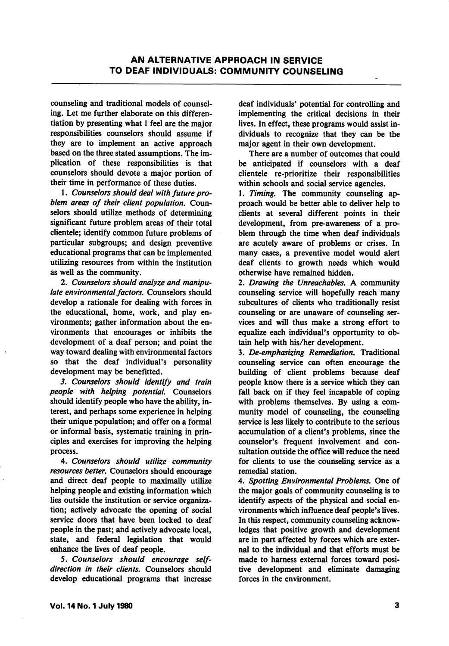counseling and traditional models of counsel ing. Let me further elaborate on this differen tiation by presenting what I feel are the major responsibilities counselors should assume if they are to implement an active approach based on the three stated assumptions. The im plication of these responsibilities is that counselors should devote a major portion of their time in performance of these duties.

1. Counselors should deal with future pro blem areas of their client population. Coun selors should utilize methods of determining significant future problem areas of their total clientele; identify common future problems of particular subgroups; and design preventive educational programs that can be implemented utilizing resources from within the institution as well as the community.

2. Counselors should analyze and manipu late environmental factors. Counselors should develop a rationale for dealing with forces in the educational, home, work, and play en vironments; gather information about the en vironments that encourages or inhibits the development of a deaf person; and point the way toward dealing with environmental factors so that the deaf individual's personality development may be benefitted.

3. Counselors should identify and train people with helping potential. Counselors should identify people who have the ability, in terest, and perhaps some experience in helping their unique population; and offer on a formal or informal basis, systematic training in prin ciples and exercises for improving the helping process.

4. Counselors should utilize community resources better. Counselors should encourage and direct deaf people to maximally utilize helping people and existing information which lies outside the institution or service organiza tion; actively advocate the opening of social service doors that have been locked to deaf people in the past; ahd actively advocate local, state, and federal legislation that would enhance the lives of deaf people.

5. Counselors should encourage selfdirection in their clients. Counselors should develop educational programs that increase deaf individuals' potential for controlling and implementing the critical decisions in their lives. In effect, these programs would assist in dividuals to recognize that they can be the major agent in their own development.

There are a number of outcomes that could be anticipated if counselors with a deaf clientele re-prioritize their responsibilities within schools and social service agencies.

1. Timing. The community counseling approach would be better able to deliver help to clients at several different points in their development, from pre-awareness of a pro blem through the time when deaf individuals are acutely aware of problems or crises. In many cases, a preventive model would alert deaf clients to growth needs which would otherwise have remained hidden.

2. Drawing the Unreachables, A community counseling service will hopefully reach many subcultures of clients who traditionally resist counseling or are unaware of counseling ser vices and will thus make a strong effort to equalize each individual's opportunity to ob tain help with his/her development.

3. De-emphasizing Remediation, Traditional counseling service can often encourage the building of client problems because deaf people know there is a service which they can fall back on if they feel incapable of coping with problems themselves. By using a com munity model of counseling, the counseling service is less likely to contribute to the serious accumulation of a client's problems, since the counselor's frequent involvement and con sultation outside the office will reduce the need for clients to use the counseling service as a remedial station.

4. Spotting Environmental Problems, One of the major goals of community counseling is to identify aspects of the physical and social en vironments which influence deaf people's lives. In this respect, community counseling acknow ledges that positive growth and development are in part affected by forces which are exter nal to the individual and that efforts must be made to harness external forces toward posi tive development and eliminate damaging forces in the environment.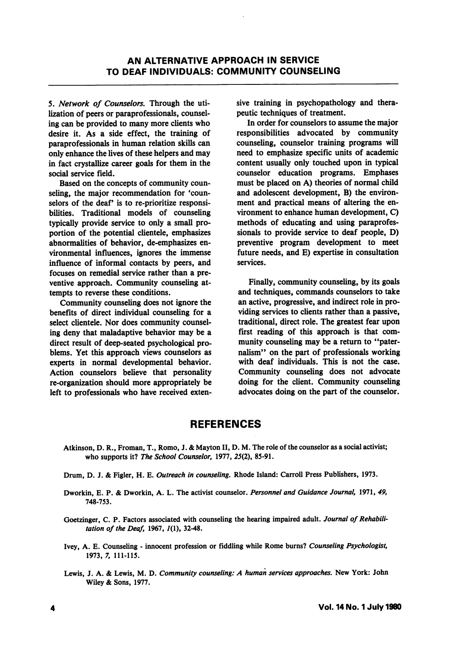5. Network of Counselors, Through the uti lization of peers or paraprofessionals, counsel ing can be provided to many more clients who desire it. As a side effect, the training of paraprofessionals in human relation skills can only enhance the lives of these helpers and may in fact crystallize career goals for them in the social service field.

Based on the concepts of community coun seling, the major recommendation for 'coun selors of the deaf' is to re-prioritize responsibilities. Traditional models of counseling typically provide service to only a small pro portion of the potential clientele, emphasizes abnormalities of behavior, de-emphasizes en vironmental influences, ignores the immense influence of informal contacts by peers, and focuses on remedial service rather than a pre ventive approach. Community counseling at tempts to reverse these conditions.

Community counseling does not ignore the benefits of direct individual counseling for a select clientele. Nor does community counseling deny that maladaptive behavior may be a direct result of deep-seated psychological pro blems. Yet this approach views counselors as experts in normal developmental behavior. Action counselors believe that personality re-organization should more appropriately be left to professionals who have received exten

sive training in psychopathology and thera peutic techniques of treatment.

In order for counselors to assume the major responsibilities advocated by community counseling, counselor training programs will need to emphasize specific units of academic content usually only touched upon in typical counselor education programs. Emphases must be placed on A) theories of normal child and adolescent development, B) the environ ment and practical means of altering the en vironment to enhance human development, C) methods of educating and using paraprofes sionals to provide service to deaf people, D) preventive program development to meet future needs, and E) expertise in consultation services.

Finally, community counseling, by its goals and techniques, commands counselors to take an active, progressive, and indirect role in pro viding services to clients rather than a passive, traditional, direct role. The greatest fear upon first reading of this approach is that com munity counseling may be a return to "pater nalism" on the part of professionals working with deaf individuals. This is not the case. Community counseling does not advocate doing for the client. Community counseling advocates doing on the part of the counselor.

## **REFERENCES**

- Atkinson, D. R., Froman, T., Rome, J. & Mayton II, D. M. The role of the counselor as a social activist; who supports it? The School Counselor, 1977, 25(2), 85-91.
- Drum, D. J. & Figler, H. E. Outreach in counseling, Rhode Island: Carroll Press Publishers, 1973.
- Dworkin, E. P. & Dworkin, A. L. The activist counselor. Personnel and Guidance Journal, 1971, 49, 748-753.
- Goetzinger, C. P. Factors associated with counseling the hearing impaired adult. Journal of Rehabilitation of the Deaf, 1967,  $1(1)$ , 32-48.
- Ivey, A. E. Counseling innocent profession or fiddling while Rome burns? Counseling Psychologist, 1973, 7, 111-115.
- Lewis, J. A. & Lewis, M. D. Community counseling: A human services approaches. New York: John Wiley & Sons, 1977.